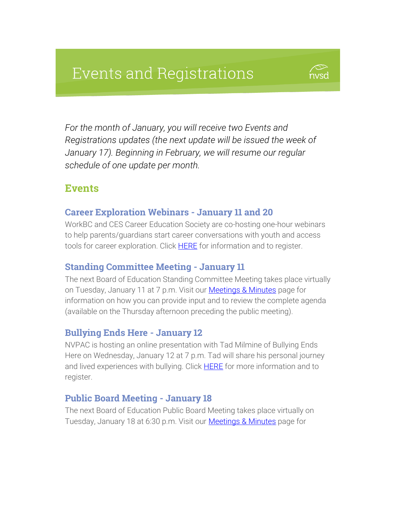# **Events and Registrations**



*For the month of January, you will receive two Events and Registrations updates (the next update will be issued the week of January 17). Beginning in February, we will resume our regular schedule of one update per month.* 

# Events

#### Career Exploration Webinars - January 11 and 20

WorkBC and CES Career Education Society are co-hosting one-hour webinars to help parents/guardians start career conversations with youth and access tools for career exploration. Click **HERE** for information and to register.

#### Standing Committee Meeting - January 11

The next Board of Education Standing Committee Meeting takes place virtually on Tuesday, January 11 at 7 p.m. Visit our **Meetings & Minutes** page for information on how you can provide input and to review the complete agenda (available on the Thursday afternoon preceding the public meeting).

## Bullying Ends Here - January 12

NVPAC is hosting an online presentation with Tad Milmine of Bullying Ends Here on Wednesday, January 12 at 7 p.m. Tad will share his personal journey and lived experiences with bullying. Click **HERE** for more information and to register.

## Public Board Meeting - January 18

The next Board of Education Public Board Meeting takes place virtually on Tuesday, January 18 at 6:30 p.m. Visit our [Meetings & Minutes](https://www.sd44.ca/Board/Meetings/Pages/default.aspx#/=) page for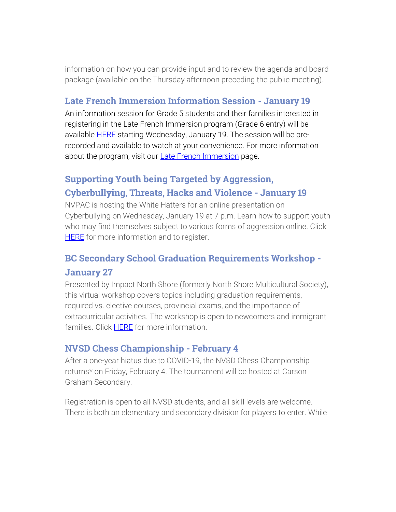information on how you can provide input and to review the agenda and board package (available on the Thursday afternoon preceding the public meeting).

#### Late French Immersion Information Session - January 19

An information session for Grade 5 students and their families interested in registering in the Late French Immersion program (Grade 6 entry) will be available [HERE](http://track.spe.schoolmessenger.com/f/a/WJIm1B-03zH3bjokv-N_Tg~~/AAAAAQA~/RgRjvfJFP0RYaHR0cHM6Ly93d3cuc2Q0NC5jYS9Qcm9ncmFtc1NlcnZpY2VzL0ZyZW5jaEltbWVyc2lvbi9MYXRlSW1tZXJzaW9uL1BhZ2VzL2RlZmF1bHQuYXNweCMvPVcHc2Nob29sbUIKYdXFvtxh17tMV1IVbGRhbGxhdmVjY2hpYUBzZDQ0LmNhWAQAAAAC) starting Wednesday, January 19. The session will be prerecorded and available to watch at your convenience. For more information about the program, visit our **Late French Immersion** page.

# Supporting Youth being Targeted by Aggression, Cyberbullying, Threats, Hacks and Violence - January 19

NVPAC is hosting the White Hatters for an online presentation on Cyberbullying on Wednesday, January 19 at 7 p.m. Learn how to support youth who may find themselves subject to various forms of aggression online. Click **[HERE](https://www.eventbrite.ca/e/cyber-bullying-tickets-184112494427)** for more information and to register.

# BC Secondary School Graduation Requirements Workshop - January 27

Presented by Impact North Shore (formerly North Shore Multicultural Society), this virtual workshop covers topics including graduation requirements, required vs. elective courses, provincial exams, and the importance of extracurricular activities. The workshop is open to newcomers and immigrant families. Click **HERE** for more information.

#### NVSD Chess Championship - February 4

After a one-year hiatus due to COVID-19, the NVSD Chess Championship returns\* on Friday, February 4. The tournament will be hosted at Carson Graham Secondary.

Registration is open to all NVSD students, and all skill levels are welcome. There is both an elementary and secondary division for players to enter. While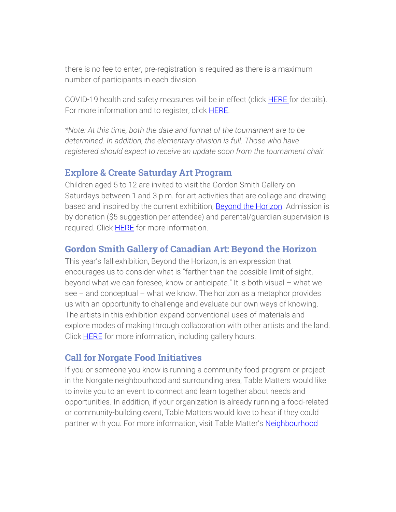there is no fee to enter, pre-registration is required as there is a maximum number of participants in each division.

COVID-19 health and safety measures will be in effect (click [HERE f](https://my44.sd44.ca/group/s5sqbj3/Pages/Covid-Safety-Measures.aspx#/=)or details). For more information and to register, click [HERE.](https://my44.sd44.ca/group/s5sqbj3/Pages/default.aspx#/=)

*\*Note: At this time, both the date and format of the tournament are to be determined. In addition, the elementary division is full. Those who have registered should expect to receive an update soon from the tournament chair.*

#### Explore & Create Saturday Art Program

Children aged 5 to 12 are invited to visit the Gordon Smith Gallery on Saturdays between 1 and 3 p.m. for art activities that are collage and drawing based and inspired by the current exhibition, [Beyond the Horizon.](https://www.sd44.ca/school/artistsforkids/Visit/Exhibitions/Pages/default.aspx#/=) Admission is by donation (\$5 suggestion per attendee) and parental/guardian supervision is required. Click [HERE](https://smithfoundation.co/engage/public-programs/) for more information.

#### Gordon Smith Gallery of Canadian Art: Beyond the Horizon

This year's fall exhibition, Beyond the Horizon, is an expression that encourages us to consider what is "farther than the possible limit of sight, beyond what we can foresee, know or anticipate." It is both visual – what we see – and conceptual – what we know. The horizon as a metaphor provides us with an opportunity to challenge and evaluate our own ways of knowing. The artists in this exhibition expand conventional uses of materials and explore modes of making through collaboration with other artists and the land. Click **HERE** for more information, including gallery hours.

#### Call for Norgate Food Initiatives

If you or someone you know is running a community food program or project in the Norgate neighbourhood and surrounding area, Table Matters would like to invite you to an event to connect and learn together about needs and opportunities. In addition, if your organization is already running a food-related or community-building event, Table Matters would love to hear if they could partner with you. For more information, visit Table Matter's **Neighbourhood**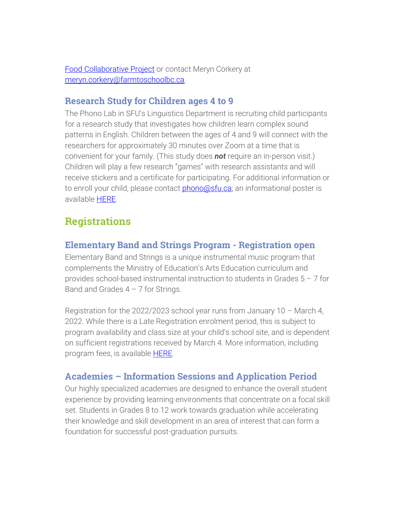[Food Collaborative Project](https://tablematters.ca/neighbourhood-food-collaborative/) or contact Meryn Corkery at [meryn.corkery@farmtoschoolbc.ca.](mailto:meryn.corkery@farmtoschoolbc.ca)

#### Research Study for Children ages 4 to 9

The Phono Lab in SFU's Linguistics Department is recruiting child participants for a research study that investigates how children learn complex sound patterns in English. Children between the ages of 4 and 9 will connect with the researchers for approximately 30 minutes over Zoom at a time that is convenient for your family. (This study does *not* require an in-person visit.) Children will play a few research "games" with research assistants and will receive stickers and a certificate for participating. For additional information or to enroll your child, please contact **phono@sfu.ca**; an informational poster is available [HERE.](https://www.sd44.ca/parents/Documents/SFU_Research_Recruitment_poster_4-9.pdf)

# **Registrations**

#### Elementary Band and Strings Program - Registration open

Elementary Band and Strings is a unique instrumental music program that complements the Ministry of Education's Arts Education curriculum and provides school-based instrumental instruction to students in Grades 5 – 7 for Band and Grades  $4 - 7$  for Strings.

Registration for the 2022/2023 school year runs from January 10 – March 4, 2022. While there is a Late Registration enrolment period, this is subject to program availability and class size at your child's school site, and is dependent on sufficient registrations received by March 4. More information, including program fees, is available **HERE**.

#### Academies – Information Sessions and Application Period

Our highly specialized academies are designed to enhance the overall student experience by providing learning environments that concentrate on a focal skill set. Students in Grades 8 to 12 work towards graduation while accelerating their knowledge and skill development in an area of interest that can form a foundation for successful post-graduation pursuits.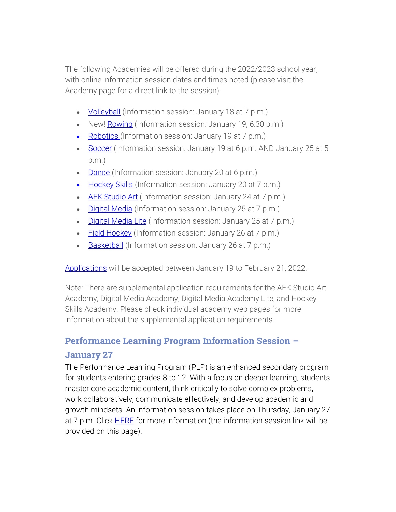The following Academies will be offered during the 2022/2023 school year, with online information session dates and times noted (please visit the Academy page for a direct link to the session).

- [Volleyball](https://www.sd44.ca/ProgramsServices/Academies/VolleyballAcademy/Pages/default.aspx#/=) (Information session: January 18 at 7 p.m.)
- New! [Rowing](https://www.sd44.ca/ProgramsServices/Academies/rowing/Pages/default.aspx#/=) (Information session: January 19, 6:30 p.m.)
- [Robotics \(Information session: January 19 at 7 p.m.\)](https://www.sd44.ca/ProgramsServices/Academies/Robotics,%20Mechatronics%20%26%20Digital%20Fabrication/Pages/default.aspx#/=)
- [Soccer](https://www.sd44.ca/ProgramsServices/Academies/SoccerAcademy/Pages/default.aspx#/=) (Information session: January 19 at 6 p.m. AND January 25 at 5 p.m.)
- [Dance](https://www.sd44.ca/ProgramsServices/Academies/Dance/Pages/default.aspx#/=) (Information session: January 20 at 6 p.m.)
- [Hockey Skills \(Information session: January 20 at 7 p.m.\)](https://www.sd44.ca/ProgramsServices/Academies/HockeyAcademy/Pages/default.aspx#/=)
- [AFK Studio Art](https://www.sd44.ca/ProgramsServices/Academies/AFKAcademy/Pages/default.aspx#/=) (Information session: January 24 at 7 p.m.)
- [Digital Media](https://www.sd44.ca/ProgramsServices/Academies/DigitalMedia/Pages/default.aspx#/=) (Information session: January 25 at 7 p.m.)
- [Digital Media Lite](https://www.sd44.ca/ProgramsServices/Academies/Digital%20Media%20Academy%20Lite/Pages/default.aspx#/=) (Information session: January 25 at 7 p.m.)
- [Field Hockey](https://www.sd44.ca/ProgramsServices/Academies/FieldHockey/Pages/default.aspx#/=) (Information session: January 26 at 7 p.m.)
- [Basketball](https://www.sd44.ca/ProgramsServices/Academies/Basketball/Pages/default.aspx#/=) (Information session: January 26 at 7 p.m.)

[Applications](https://www.sd44.ca/ProgramsServices/Academies/applicationswithdrawals/Pages/default.aspx#/=) will be accepted between January 19 to February 21, 2022.

Note: There are supplemental application requirements for the AFK Studio Art Academy, Digital Media Academy, Digital Media Academy Lite, and Hockey Skills Academy. Please check individual academy web pages for more information about the supplemental application requirements.

# Performance Learning Program Information Session – January 27

The Performance Learning Program (PLP) is an enhanced secondary program for students entering grades 8 to 12. With a focus on deeper learning, students master core academic content, think critically to solve complex problems, work collaboratively, communicate effectively, and develop academic and growth mindsets. An information session takes place on Thursday, January 27 at 7 p.m. Click [HERE](http://www.blog44.ca/plp/) for more information (the information session link will be provided on this page).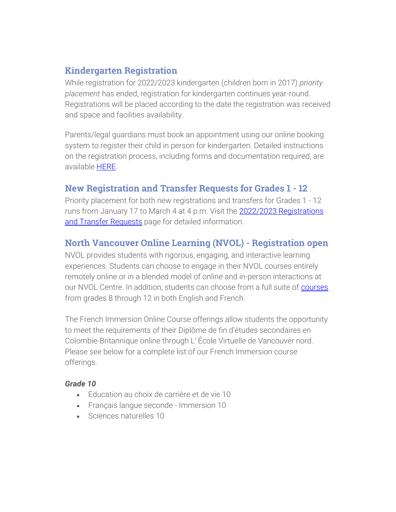# Kindergarten Registration

While registration for 2022/2023 kindergarten (children born in 2017) *priority placement* has ended, registration for kindergarten continues year-round. Registrations will be placed according to the date the registration was received and space and facilities availability.

Parents/legal guardians must book an appointment using our online booking system to register their child in person for kindergarten. Detailed instructions on the registration process, including forms and documentation required, are available [HERE.](https://www.sd44.ca/Schools/StudentRegistration/KindergartenRegistration/Pages/default.aspx#/=)

## New Registration and Transfer Requests for Grades 1 - 12

Priority placement for both new registrations and transfers for Grades 1 - 12 runs from January 17 to March 4 at 4 p.m. Visit the [2022/2023 Registrations](https://www.sd44.ca/Schools/StudentRegistration/2022-2023RegistrationsTransferRequests/Pages/default.aspx#/=)  [and Transfer Requests](https://www.sd44.ca/Schools/StudentRegistration/2022-2023RegistrationsTransferRequests/Pages/default.aspx#/=) page for detailed information.

## North Vancouver Online Learning (NVOL) - Registration open

NVOL provides students with rigorous, engaging, and interactive learning experiences. Students can choose to engage in their NVOL courses entirely remotely online or in a blended model of online and in-person interactions at our NVOL Centre. In addition, students can choose from a full suite of [courses](https://www.sd44.ca/school/onlinelearning/ProgramsServices/Courses/Pages/default.aspx#/=) from grades 8 through 12 in both English and French.

The French Immersion Online Course offerings allow students the opportunity to meet the requirements of their Diplôme de fin d'études secondaires en Colombie-Britannique online through L' École Virtuelle de Vancouver nord. Please see below for a complete list of our French Immersion course offerings.

#### *Grade 10*

- **Education au choix de carrière et de vie 10**
- **Français langue seconde Immersion 10**
- Sciences naturelles 10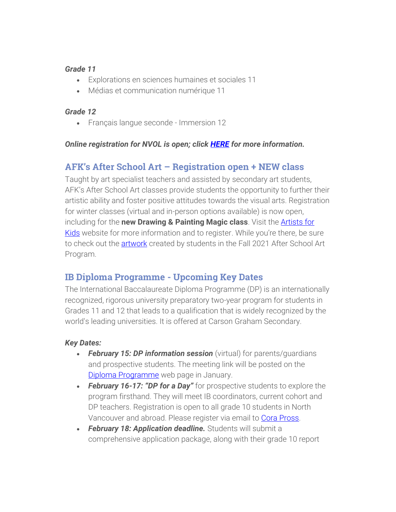#### *Grade 11*

- Explorations en sciences humaines et sociales 11
- Médias et communication numérique 11

#### *Grade 12*

• Français langue seconde - Immersion 12

#### *Online registration for NVOL is open; click [HERE](https://www.sd44.ca/school/onlinelearning/About/registration/Pages/default.aspx#/=) for more information.*

#### AFK's After School Art – Registration open + NEW class

Taught by art specialist teachers and assisted by secondary art students, AFK's After School Art classes provide students the opportunity to further their artistic ability and foster positive attitudes towards the visual arts. Registration for winter classes (virtual and in-person options available) is now open, including for the **new Drawing & Painting Magic class**. Visit the [Artists for](https://www.sd44.ca/school/artistsforkids/learn/afterschoolart/Pages/default.aspx#/=)  [Kids](https://www.sd44.ca/school/artistsforkids/learn/afterschoolart/Pages/default.aspx#/=) website for more information and to register. While you're there, be sure to check out the **artwork** created by students in the Fall 2021 After School Art Program.

#### IB Diploma Programme - Upcoming Key Dates

The International Baccalaureate Diploma Programme (DP) is an internationally recognized, rigorous university preparatory two-year program for students in Grades 11 and 12 that leads to a qualification that is widely recognized by the world's leading universities. It is offered at Carson Graham Secondary.

#### *Key Dates:*

- *February 15: DP information session* (virtual) for parents/guardians and prospective students. The meeting link will be posted on the [Diploma Programme](https://www.sd44.ca/school/carson/diplomaprogramme/Pages/Default.aspx#/=) web page in January.
- *February 16-17: "DP for a Day"* for prospective students to explore the program firsthand. They will meet IB coordinators, current cohort and DP teachers. Registration is open to all grade 10 students in North Vancouver and abroad. Please register via email to [Cora Pross.](mailto:cpross@sd44.ca)
- February 18: Application deadline. Students will submit a comprehensive application package, along with their grade 10 report